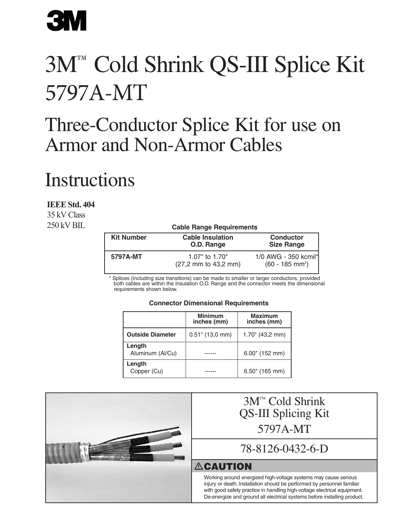# 3M™ Cold Shrink QS-III Splice Kit 5797A-MT

## Three-Conductor Splice Kit for use on Armor and Non-Armor Cables

## **Instructions**

#### **IEEE Std. 404**

35 kV Class 250 kV BIL

| Caple Halige Requirements |                                                             |                                                       |  |  |  |  |  |
|---------------------------|-------------------------------------------------------------|-------------------------------------------------------|--|--|--|--|--|
| <b>Kit Number</b>         | <b>Cable Insulation</b><br>O.D. Range                       | <b>Conductor</b><br><b>Size Range</b>                 |  |  |  |  |  |
| 5797A-MT                  | 1.07" to 1.70"<br>$(27, 2 \text{ mm to } 43, 2 \text{ mm})$ | 1/0 AWG - 350 kcmil*<br>$(60 - 185$ mm <sup>2</sup> ) |  |  |  |  |  |

**Cable Range Requirements** 

\* Splices (including size transitions) can be made to smaller or larger conductors, provided both cables are within the Insulation O.D. Range and the connector meets the dimensional requirements shown below.

#### **Connector Dimensional Requirements**

|                            | <b>Minimum</b><br>inches (mm) | <b>Maximum</b><br>inches (mm) |  |  |  |
|----------------------------|-------------------------------|-------------------------------|--|--|--|
| <b>Outside Diameter</b>    | $0.51$ " (13,0 mm)            | $1.70^{\circ}$ (43,2 mm)      |  |  |  |
| Length<br>Aluminum (Al/Cu) |                               | $6.00$ " (152 mm)             |  |  |  |
| Length<br>Copper (Cu)      |                               | $6.50$ " (165 mm)             |  |  |  |

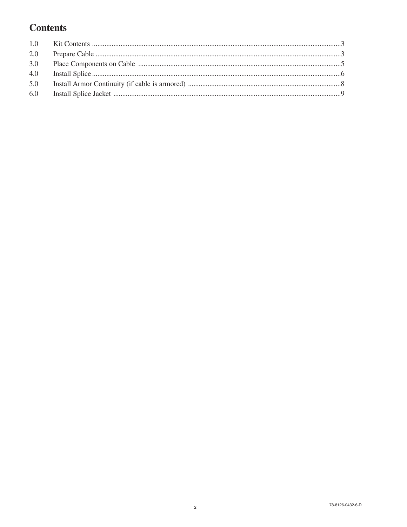## **Contents**

| 2.0 |  |
|-----|--|
| 3.0 |  |
|     |  |
| 5.0 |  |
|     |  |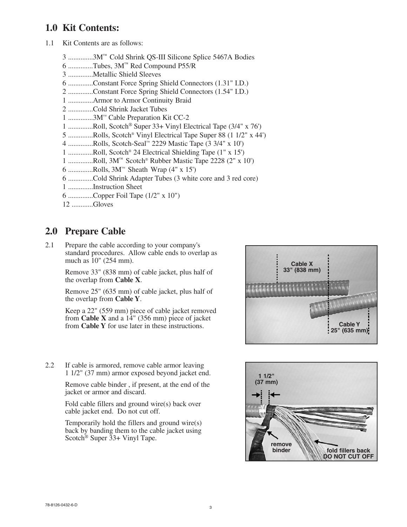### **1.0 Kit Contents:**

1.1 Kit Contents are as follows:

3 ..............3M™ Cold Shrink QS-III Silicone Splice 5467A Bodies 6 ..............Tubes, 3M™ Red Compound P55/R 3 ..............Metallic Shield Sleeves 6 ..............Constant Force Spring Shield Connectors (1.31" I.D.) 2 ..............Constant Force Spring Shield Connectors (1.54" I.D.) 1 ..............Armor to Armor Continuity Braid 2 ..............Cold Shrink Jacket Tubes 1 ..............3M™ Cable Preparation Kit CC-2 1 ..............Roll, Scotch® Super 33+ Vinyl Electrical Tape (3/4" x 76') 5 ..............Rolls, Scotch® Vinyl Electrical Tape Super 88 (1 1/2" x 44') 4 ..............Rolls, Scotch-Seal™ 2229 Mastic Tape (3 3/4" x 10') 1 ..............Roll, Scotch® 24 Electrical Shielding Tape (1" x 15') 1 ..............Roll, 3M™ Scotch® Rubber Mastic Tape 2228 (2" x 10') 6 ..............Rolls, 3M™ Sheath Wrap (4" x 15') 6 ..............Cold Shrink Adapter Tubes (3 white core and 3 red core) 1 ..............Instruction Sheet 6 ..............Copper Foil Tape (1/2" x 10") 12 ............Gloves

### **2.0 Prepare Cable**

2.1 Prepare the cable according to your company's standard procedures. Allow cable ends to overlap as much as 10" (254 mm).

> Remove 33" (838 mm) of cable jacket, plus half of the overlap from **Cable X**.

> Remove 25" (635 mm) of cable jacket, plus half of the overlap from **Cable Y**.

Keep a 22" (559 mm) piece of cable jacket removed from **Cable X** and a 14" (356 mm) piece of jacket from **Cable Y** for use later in these instructions.



2.2 If cable is armored, remove cable armor leaving 1 1/2" (37 mm) armor exposed beyond jacket end.

> Remove cable binder , if present, at the end of the jacket or armor and discard.

Fold cable fillers and ground wire(s) back over cable jacket end. Do not cut off.

Temporarily hold the fillers and ground wire(s) back by banding them to the cable jacket using Scotch® Super 33+ Vinyl Tape.

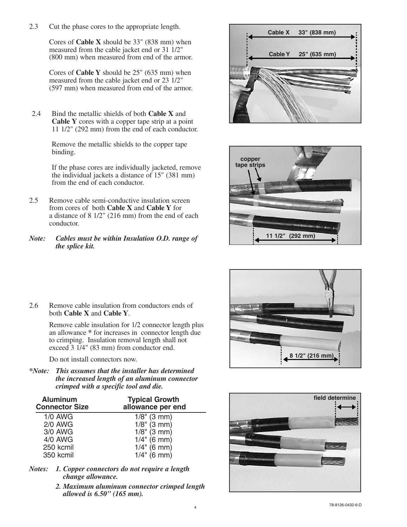2.3 Cut the phase cores to the appropriate length.

Cores of **Cable X** should be 33" (838 mm) when measured from the cable jacket end or 31 1/2" (800 mm) when measured from end of the armor.

Cores of **Cable Y** should be 25" (635 mm) when measured from the cable jacket end or 23 1/2" (597 mm) when measured from end of the armor.

2.4 Bind the metallic shields of both **Cable X** and **Cable Y** cores with a copper tape strip at a point 11 1/2" (292 mm) from the end of each conductor.

> Remove the metallic shields to the copper tape binding.

If the phase cores are individually jacketed, remove the individual jackets a distance of 15" (381 mm) from the end of each conductor.

- 2.5 Remove cable semi-conductive insulation screen from cores of both **Cable X** and **Cable Y** for a distance of 8 1/2" (216 mm) from the end of each conductor.
- *Note: Cables must be within Insulation O.D. range of the splice kit.*









2.6 Remove cable insulation from conductors ends of both **Cable X** and **Cable Y**.

> Remove cable insulation for 1/2 connector length plus an allowance **\*** for increases in connector length due to crimping. Insulation removal length shall not exceed 3 1/4" (83 mm) from conductor end.

Do not install connectors now.

*\*Note: This assumes that the installer has determined the increased length of an aluminum connector crimped with a specific tool and die.* 

| <b>Aluminum</b><br><b>Connector Size</b> | <b>Typical Growth</b><br>allowance per end |
|------------------------------------------|--------------------------------------------|
| $1/0$ AWG                                | $1/8$ " (3 mm)                             |
| <b>2/0 AWG</b>                           | $1/8$ " (3 mm)                             |
| 3/0 AWG                                  | $1/8$ " (3 mm)                             |
| 4/0 AWG                                  | $1/4$ " (6 mm)                             |
| 250 kcmil                                | $1/4$ " (6 mm)                             |
| 350 kcmil                                | $1/4$ " (6 mm)                             |

- *Notes: 1. Copper connectors do not require a length change allowance.*
	- *2. Maximum aluminum connector crimped length allowed is 6.50" (165 mm).*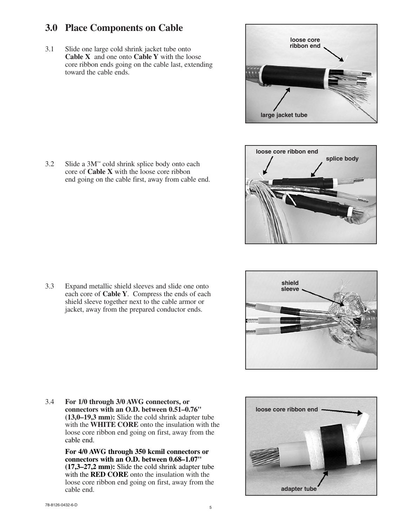## **3.0 Place Components on Cable**

3.1 Slide one large cold shrink jacket tube onto **Cable X** and one onto **Cable Y** with the loose core ribbon ends going on the cable last, extending toward the cable ends.

3.2 Slide a 3M™ cold shrink splice body onto each core of **Cable X** with the loose core ribbon end going on the cable first, away from cable end.

3.3 Expand metallic shield sleeves and slide one onto each core of **Cable Y**. Compress the ends of each shield sleeve together next to the cable armor or jacket, away from the prepared conductor ends.

- <sup>5</sup> 78-8126-0432-6-<sup>D</sup>
- 3.4 **For 1/0 through 3/0 AWG connectors, or connectors with an O.D. between 0.51–0.76" (13,0–19,3 mm):** Slide the cold shrink adapter tube with the **WHITE CORE** onto the insulation with the loose core ribbon end going on first, away from the cable end.

**For 4/0 AWG through 350 kcmil connectors or connectors with an O.D. between 0.68–1.07" (17,3–27,2 mm):** Slide the cold shrink adapter tube with the **RED CORE** onto the insulation with the loose core ribbon end going on first, away from the cable end.



**loose core ribbon end**





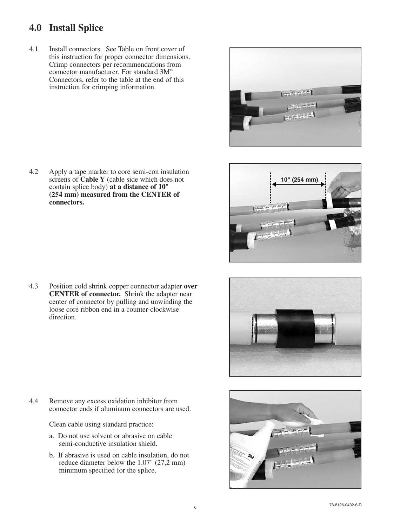## **4.0 Install Splice**

4.1 Install connectors. See Table on front cover of this instruction for proper connector dimensions. Crimp connectors per recommendations from connector manufacturer. For standard 3M™ Connectors, refer to the table at the end of this instruction for crimping information.

4.2 Apply a tape marker to core semi-con insulation screens of **Cable Y** (cable side which does not contain splice body) **at a distance of 10**" **(254 mm) measured from the CENTER of connectors.**

4.3 Position cold shrink copper connector adapter **over CENTER of connector.** Shrink the adapter near center of connector by pulling and unwinding the loose core ribbon end in a counter-clockwise direction.

4.4 Remove any excess oxidation inhibitor from connector ends if aluminum connectors are used.

Clean cable using standard practice:

- a. Do not use solvent or abrasive on cable semi-conductive insulation shield.
- b. If abrasive is used on cable insulation, do not reduce diameter below the 1.07" (27,2 mm) minimum specified for the splice.







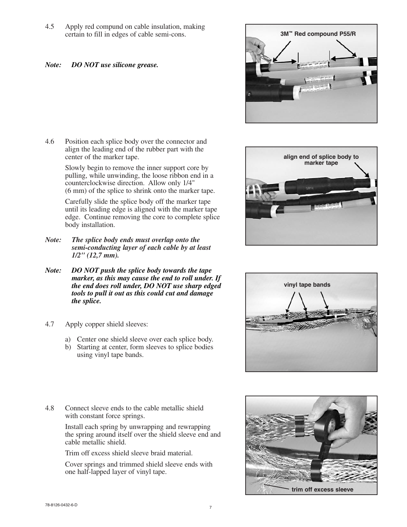4.5 Apply red compund on cable insulation, making certain to fill in edges of cable semi-cons.

#### *Note: DO NOT use silicone grease.*

4.6 Position each splice body over the connector and align the leading end of the rubber part with the center of the marker tape.

> Slowly begin to remove the inner support core by pulling, while unwinding, the loose ribbon end in a counterclockwise direction. Allow only 1/4" (6 mm) of the splice to shrink onto the marker tape.

Carefully slide the splice body off the marker tape until its leading edge is aligned with the marker tape edge. Continue removing the core to complete splice body installation.

- *Note: The splice body ends must overlap onto the semi-conducting layer of each cable by at least 1/2" (12,7 mm).*
- *Note: DO NOT push the splice body towards the tape marker, as this may cause the end to roll under. If the end does roll under, DO NOT use sharp edged tools to pull it out as this could cut and damage the splice.*
- 4.7 Apply copper shield sleeves:
	- a) Center one shield sleeve over each splice body.
	- b) Starting at center, form sleeves to splice bodies using vinyl tape bands.
- 4.8 Connect sleeve ends to the cable metallic shield with constant force springs.

Install each spring by unwrapping and rewrapping the spring around itself over the shield sleeve end and cable metallic shield.

Trim off excess shield sleeve braid material.

Cover springs and trimmed shield sleeve ends with one half-lapped layer of vinyl tape.







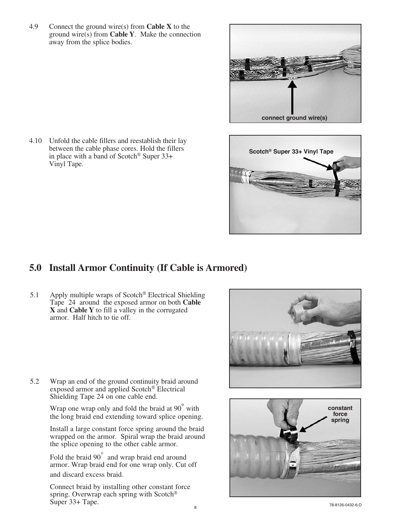4.9 Connect the ground wire(s) from **Cable X** to the ground wire(s) from **Cable Y**. Make the connection away from the splice bodies.

4.10 Unfold the cable fillers and reestablish their lay between the cable phase cores. Hold the fillers in place with a band of Scotch® Super 33+ Vinyl Tape.

## **5.0 Install Armor Continuity (If Cable is Armored)**

5.1 Apply multiple wraps of Scotch® Electrical Shielding Tape 24 around the exposed armor on both **Cable X** and **Cable Y** to fill a valley in the corrugated armor. Half hitch to tie off.

5.2 Wrap an end of the ground continuity braid around exposed armor and applied Scotch® Electrical Shielding Tape 24 on one cable end.

> Wrap one wrap only and fold the braid at 90 $\degree$  with the long braid end extending toward splice opening.

Install a large constant force spring around the braid wrapped on the armor. Spiral wrap the braid around the splice opening to the other cable armor.

Fold the braid 90° and wrap braid end around armor. Wrap braid end for one wrap only. Cut off and discard excess braid.

Connect braid by installing other constant force spring. Overwrap each spring with Scotch<sup>®</sup> Super 33+ Tape.





**Scotch® Super 33+ Vinyl Tape**

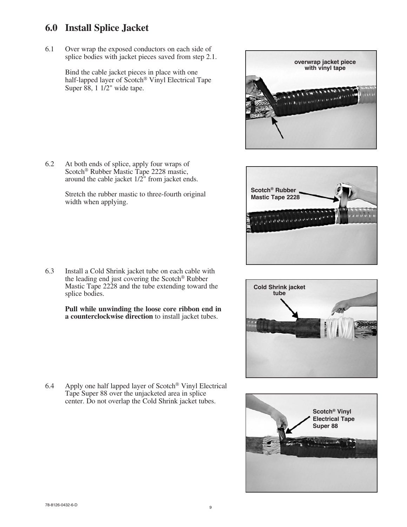### **6.0 Install Splice Jacket**

6.1 Over wrap the exposed conductors on each side of splice bodies with jacket pieces saved from step 2.1.

> Bind the cable jacket pieces in place with one half-lapped layer of Scotch® Vinyl Electrical Tape Super 88, 1 1/2" wide tape.

6.2 At both ends of splice, apply four wraps of Scotch® Rubber Mastic Tape 2228 mastic, around the cable jacket 1/2" from jacket ends.

> Stretch the rubber mastic to three-fourth original width when applying.

6.3 Install a Cold Shrink jacket tube on each cable with the leading end just covering the Scotch® Rubber Mastic Tape 2228 and the tube extending toward the splice bodies.

> **Pull while unwinding the loose core ribbon end in a counterclockwise direction** to install jacket tubes.

6.4 Apply one half lapped layer of Scotch® Vinyl Electrical Tape Super 88 over the unjacketed area in splice center. Do not overlap the Cold Shrink jacket tubes.









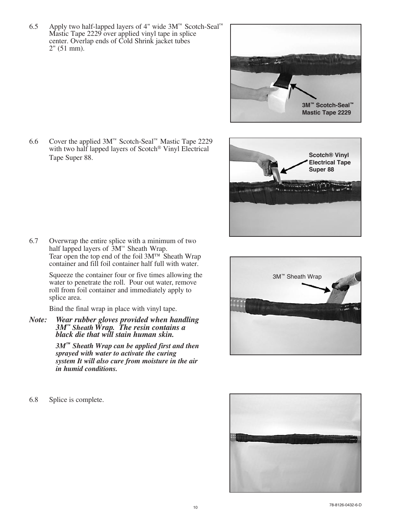6.5 Apply two half-lapped layers of 4" wide  $3M^{\text{m}}$  Scotch-Seal<sup>™</sup> Mastic Tape 2229 over applied vinyl tape in splice center. Overlap ends of Cold Shrink jacket tubes 2" (51 mm).

6.6 Cover the applied 3M™ Scotch-Seal™ Mastic Tape 2229 with two half lapped layers of Scotch<sup>®</sup> Vinyl Electrical

Tape Super 88.



- **Scotch® Vinyl Electrical Tape Super 88**
- 6.7 Overwrap the entire splice with a minimum of two half lapped layers of  $\overline{3}M^{m}$  Sheath Wrap. Tear open the top end of the foil  $3M<sup>TM</sup>$  Sheath Wrap container and fill foil container half full with water.

Squeeze the container four or five times allowing the water to penetrate the roll. Pour out water, remove roll from foil container and immediately apply to splice area.

Bind the final wrap in place with vinyl tape.

*Note: Wear rubber gloves provided when handling 3M™ Sheath Wrap. The resin contains a black die that will stain human skin.*

> *3M™ Sheath Wrap can be applied first and then sprayed with water to activate the curing system It will also cure from moisture in the air in humid conditions.*

6.8 Splice is complete.



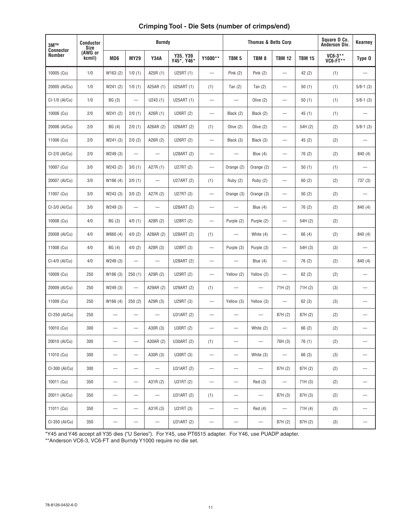#### Crimping Tool - Die Sets (number of crimps/end)

| $3M^{TM}$                  | Conductor<br><b>Size</b> | Burndy                   |                          |                          |                        | <b>Thomas &amp; Betts Corp</b> |                          |                          |                          | Square D Co.<br><b>Anderson Div.</b> | Kearney                    |                          |
|----------------------------|--------------------------|--------------------------|--------------------------|--------------------------|------------------------|--------------------------------|--------------------------|--------------------------|--------------------------|--------------------------------------|----------------------------|--------------------------|
| <b>Connector</b><br>Number | (AWG or<br>kcmil)        | MD <sub>6</sub>          | <b>MY29</b>              | <b>Y34A</b>              | Y35, Y39<br>Y45*, Y46* | Y1000**                        | TBM <sub>5</sub>         | TBM <sub>8</sub>         | <b>TBM 12</b>            | <b>TBM 15</b>                        | VC6-3**<br><b>VC6-FT**</b> | Type 0                   |
| 10005 (Cu)                 | 1/0                      | W163 (2)                 | 1/0(1)                   | A25R (1)                 | U25RT (1)              |                                | Pink $(2)$               | Pink $(2)$               | $\overline{\phantom{m}}$ | 42(2)                                | (1)                        |                          |
| 20005 (Al/Cu)              | 1/0                      | W241(2)                  | 1/0(1)                   | A25AR (1)                | U25ART (1)             | (1)                            | Tan $(2)$                | Tan $(2)$                | $\overline{\phantom{m}}$ | 50(1)                                | (1)                        | $5/8-1(3)$               |
| CI-1/0 (Al/Cu)             | 1/0                      | BG (3)                   | $\overline{\phantom{0}}$ | U243(1)                  | U25ART (1)             |                                |                          | Olive $(2)$              | $\overline{\phantom{0}}$ | 50(1)                                | (1)                        | $5/8-1(3)$               |
| 10006 (Cu)                 | 2/0                      | W241(2)                  | 2/0(1)                   | A26R (1)                 | U26RT (2)              | $\overline{\phantom{0}}$       | Black (2)                | Black (2)                | $\qquad \qquad -$        | 45(1)                                | (1)                        |                          |
| 20006 (Al/Cu)              | 2/0                      | BG (4)                   | 2/0(1)                   | A26AR (2)                | U26ART (2)             | (1)                            | Olive $(2)$              | Olive $(2)$              | $\qquad \qquad -$        | 54H (2)                              | (2)                        | $5/8-1$ (3)              |
| 11006 (Cu)                 | 2/0                      | W241 (3)                 | 2/0(2)                   | A26R (2)                 | U26RT (2)              | $\overline{\phantom{m}}$       | Black (3)                | Black (3)                | $\overline{\phantom{m}}$ | 45(2)                                | (2)                        |                          |
| CI-2/0 (Al/Cu)             | 2/0                      | W249 (3)                 | $\overline{\phantom{0}}$ | $\overline{\phantom{0}}$ | U28ART (2)             |                                |                          | Blue $(4)$               | $\qquad \qquad -$        | 76(2)                                | (2)                        | 840 (4)                  |
| 10007 (Cu)                 | 3/0                      | W243 (2)                 | 3/0(1)                   | A27R (1)                 | U27RT (2)              | $\overline{\phantom{m}}$       | Orange (2)               | Orange (2)               | $\qquad \qquad -$        | 50(1)                                | (1)                        |                          |
| 20007 (Al/Cu)              | 3/0                      | W166 (4)                 | 3/0(1)                   | $\overline{\phantom{0}}$ | U27ART (2)             | (1)                            | Ruby (2)                 | Ruby (2)                 | $\overline{\phantom{m}}$ | 60(2)                                | (2)                        | 737 (3)                  |
| 11007 (Cu)                 | 3/0                      | W243 (3)                 | 3/0(2)                   | A27R (2)                 | U27RT (3)              |                                | Orange (3)               | Orange (3)               | $\overline{\phantom{m}}$ | 50(2)                                | (2)                        |                          |
| CI-3/0 (AI/Cu)             | 3/0                      | W249 (3)                 | —                        | $\overline{\phantom{m}}$ | U28ART (2)             |                                | $\qquad \qquad -$        | Blue (4)                 | $\qquad \qquad -$        | 76 (2)                               | (2)                        | 840 (4)                  |
| 10008 (Cu)                 | 4/0                      | BG (3)                   | 4/0(1)                   | A28R (2)                 | U28RT (2)              | $\qquad \qquad -$              | Purple (2)               | Purple (2)               | $\overline{\phantom{m}}$ | 54H (2)                              | (2)                        |                          |
| 20008 (Al/Cu)              | 4/0                      | W660(4)                  | 4/0(2)                   | A28AR (2)                | U28ART (2)             | (1)                            |                          | White (4)                | $\overline{\phantom{m}}$ | 66 (4)                               | (2)                        | 840 (4)                  |
| 11008 (Cu)                 | 4/0                      | BG(4)                    | 4/0(2)                   | A28R (3)                 | U28RT (3)              | $\qquad \qquad -$              | Purple (3)               | Purple (3)               | $\overline{\phantom{m}}$ | 54H (3)                              | (3)                        |                          |
| CI-4/0 (Al/Cu)             | 4/0                      | W249 (3)                 |                          |                          | U28ART (2)             |                                | $\overline{\phantom{0}}$ | Blue (4)                 | $\qquad \qquad -$        | 76 (2)                               | (2)                        | 840 (4)                  |
| 10009 (Cu)                 | 250                      | W166 (3)                 | 250(1)                   | A29R (2)                 | U29RT (2)              | $\qquad \qquad -$              | Yellow (2)               | Yellow (2)               | $\qquad \qquad -$        | 62(2)                                | (2)                        |                          |
| 20009 (Al/Cu)              | 250                      | W249 (3)                 | $\overline{\phantom{0}}$ | A29AR (2)                | U29ART (2)             | (1)                            | $\overline{\phantom{0}}$ |                          | 71H (2)                  | 71H (2)                              | (3)                        | $\overline{\phantom{0}}$ |
| 11009 (Cu)                 | 250                      | W166 (4)                 | 250(2)                   | A29R (3)                 | U29RT (3)              | $\overline{\phantom{0}}$       | Yellow (3)               | Yellow (3)               | $\qquad \qquad -$        | 62(3)                                | (3)                        |                          |
| CI-250 (Al/Cu)             | 250                      | $\overline{\phantom{0}}$ | $\overline{\phantom{0}}$ | $\overline{\phantom{0}}$ | U31ART (2)             | -                              | $\overline{\phantom{m}}$ | $\overline{\phantom{0}}$ | 87H (2)                  | 87H (2)                              | (2)                        |                          |
| 10010 (Cu)                 | 300                      |                          | —                        | A30R (3)                 | U30RT (2)              |                                | —                        | White (2)                |                          | 66 (2)                               | (2)                        |                          |
| 20010 (Al/Cu)              | 300                      | $\qquad \qquad -$        | $\overline{\phantom{0}}$ | A30AR (2)                | U30ART (2)             | (1)                            | $\overline{\phantom{m}}$ | $\qquad \qquad -$        | 76H (3)                  | 76(1)                                | (2)                        | $\qquad \qquad -$        |
| 11010 (Cu)                 | 300                      |                          | —                        | A30R (3)                 | U30RT (3)              | $\overline{\phantom{m}}$       | $\overline{\phantom{m}}$ | White (3)                | $\overline{\phantom{m}}$ | 66 (3)                               | (3)                        | $\qquad \qquad -$        |
| CI-300 (Al/Cu)             | 300                      |                          | $\overline{\phantom{0}}$ | $\overline{\phantom{0}}$ | U31ART (2)             | $\overline{\phantom{m}}$       |                          | $\overline{\phantom{m}}$ | 87H (2)                  | 87H (2)                              | (2)                        | $\qquad \qquad -$        |
| 10011 (Cu)                 | 350                      | $\qquad \qquad -$        | —                        | A31R (2)                 | U31RT (2)              | $\overline{\phantom{m}}$       | $\overline{\phantom{m}}$ | Red(3)                   | $\overline{\phantom{m}}$ | 71H(3)                               | (2)                        | $\qquad \qquad -$        |
| 20011 (Al/Cu)              | 350                      |                          | —                        | $\overline{\phantom{0}}$ | U31ART (2)             | (1)                            | $\overline{\phantom{0}}$ | $\qquad \qquad -$        | 87H (3)                  | 87H (3)                              | (2)                        |                          |
| 11011 (Cu)                 | 350                      |                          | $\qquad \qquad -$        | A31R (3)                 | U31RT (3)              | $\overline{\phantom{m}}$       | $\overline{\phantom{m}}$ | Red(4)                   | $\overline{\phantom{m}}$ | 71H (4)                              | (3)                        |                          |
| CI-350 (Al/Cu)             | 350                      | $\overline{\phantom{0}}$ | —                        | $\qquad \qquad -$        | U31ART (2)             | $\overline{\phantom{0}}$       | $\overline{\phantom{0}}$ |                          | 87H (2)                  | 87H (2)                              | (3)                        | $\qquad \qquad -$        |

\*Y45 and Y46 accept all Y35 dies ("U Series"). For Y45, use PT6515 adapter. For Y46, use PUADP adapter. \*\*Anderson VC6-3, VC6-FT and Burndy Y1000 require no die set.